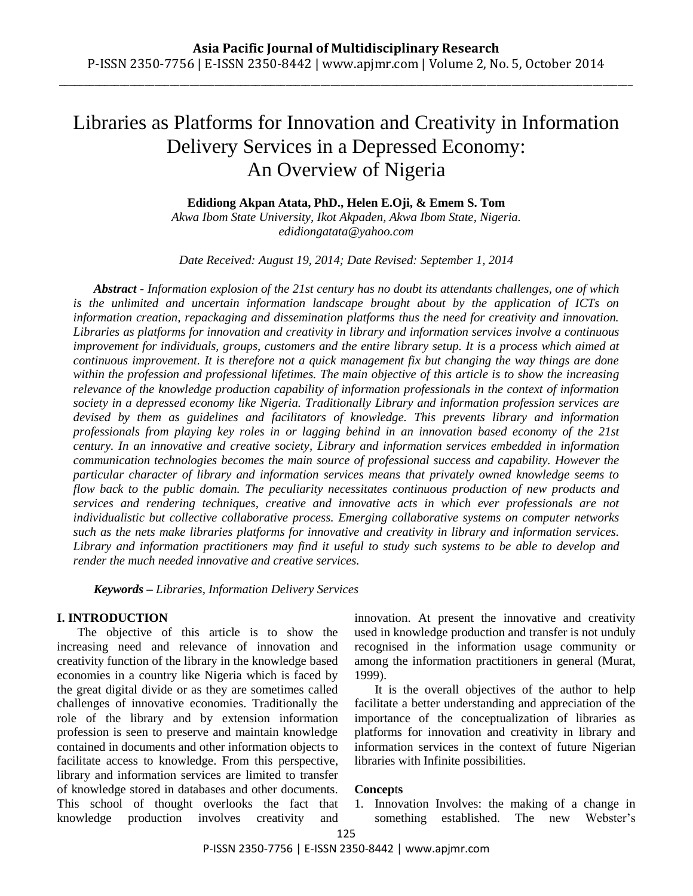\_\_\_\_\_\_\_\_\_\_\_\_\_\_\_\_\_\_\_\_\_\_\_\_\_\_\_\_\_\_\_\_\_\_\_\_\_\_\_\_\_\_\_\_\_\_\_\_\_\_\_\_\_\_\_\_\_\_\_\_\_\_\_\_\_\_\_\_\_\_\_\_\_\_\_\_\_\_\_\_\_\_\_\_\_\_\_\_\_\_\_\_\_\_\_\_\_\_\_\_\_\_\_\_\_\_\_\_\_\_\_\_\_\_

# Libraries as Platforms for Innovation and Creativity in Information Delivery Services in a Depressed Economy: An Overview of Nigeria

**Edidiong Akpan Atata, PhD., Helen E.Oji, & Emem S. Tom**

*Akwa Ibom State University, Ikot Akpaden, Akwa Ibom State, Nigeria. edidiongatata@yahoo.com*

*Date Received: August 19, 2014; Date Revised: September 1, 2014*

*Abstract - Information explosion of the 21st century has no doubt its attendants challenges, one of which is the unlimited and uncertain information landscape brought about by the application of ICTs on information creation, repackaging and dissemination platforms thus the need for creativity and innovation. Libraries as platforms for innovation and creativity in library and information services involve a continuous improvement for individuals, groups, customers and the entire library setup. It is a process which aimed at continuous improvement. It is therefore not a quick management fix but changing the way things are done within the profession and professional lifetimes. The main objective of this article is to show the increasing relevance of the knowledge production capability of information professionals in the context of information society in a depressed economy like Nigeria. Traditionally Library and information profession services are devised by them as guidelines and facilitators of knowledge. This prevents library and information professionals from playing key roles in or lagging behind in an innovation based economy of the 21st century. In an innovative and creative society, Library and information services embedded in information communication technologies becomes the main source of professional success and capability. However the particular character of library and information services means that privately owned knowledge seems to flow back to the public domain. The peculiarity necessitates continuous production of new products and services and rendering techniques, creative and innovative acts in which ever professionals are not individualistic but collective collaborative process. Emerging collaborative systems on computer networks such as the nets make libraries platforms for innovative and creativity in library and information services. Library and information practitioners may find it useful to study such systems to be able to develop and render the much needed innovative and creative services.*

*Keywords – Libraries, Information Delivery Services*

## **I. INTRODUCTION**

The objective of this article is to show the increasing need and relevance of innovation and creativity function of the library in the knowledge based economies in a country like Nigeria which is faced by the great digital divide or as they are sometimes called challenges of innovative economies. Traditionally the role of the library and by extension information profession is seen to preserve and maintain knowledge contained in documents and other information objects to facilitate access to knowledge. From this perspective, library and information services are limited to transfer of knowledge stored in databases and other documents. This school of thought overlooks the fact that knowledge production involves creativity and innovation. At present the innovative and creativity used in knowledge production and transfer is not unduly recognised in the information usage community or among the information practitioners in general (Murat, 1999).

It is the overall objectives of the author to help facilitate a better understanding and appreciation of the importance of the conceptualization of libraries as platforms for innovation and creativity in library and information services in the context of future Nigerian libraries with Infinite possibilities.

# **Concep**t**s**

1. Innovation Involves: the making of a change in something established. The new Webster's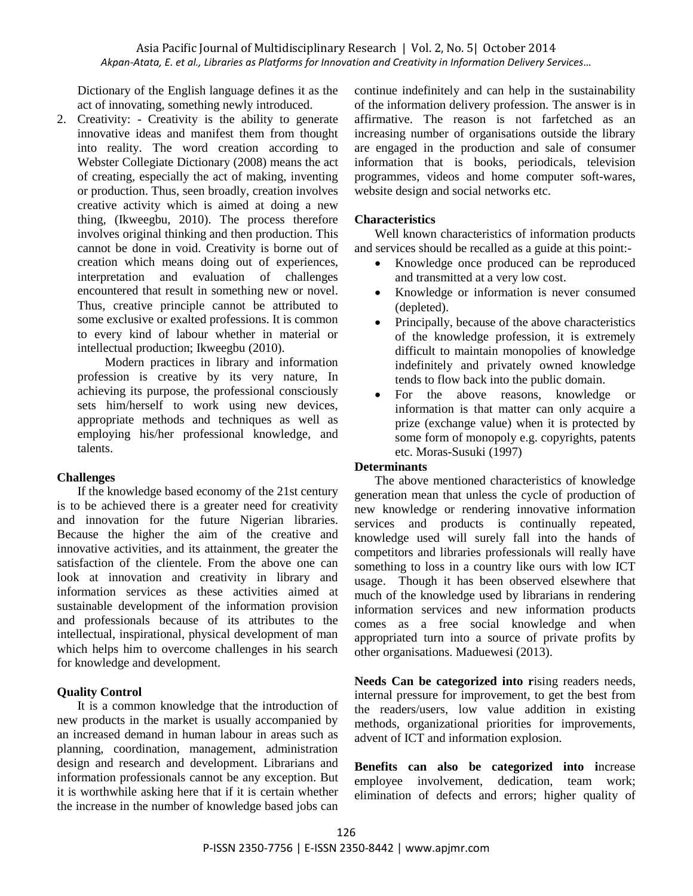Asia Pacific Journal of Multidisciplinary Research | Vol. 2, No. 5| October 2014 *Akpan-Atata, E. et al., Libraries as Platforms for Innovation and Creativity in Information Delivery Services…*

Dictionary of the English language defines it as the act of innovating, something newly introduced.

2. Creativity: - Creativity is the ability to generate innovative ideas and manifest them from thought into reality. The word creation according to Webster Collegiate Dictionary (2008) means the act of creating, especially the act of making, inventing or production. Thus, seen broadly, creation involves creative activity which is aimed at doing a new thing, (Ikweegbu, 2010). The process therefore involves original thinking and then production. This cannot be done in void. Creativity is borne out of creation which means doing out of experiences, interpretation and evaluation of challenges encountered that result in something new or novel. Thus, creative principle cannot be attributed to some exclusive or exalted professions. It is common to every kind of labour whether in material or intellectual production; Ikweegbu (2010).

Modern practices in library and information profession is creative by its very nature, In achieving its purpose, the professional consciously sets him/herself to work using new devices, appropriate methods and techniques as well as employing his/her professional knowledge, and talents.

## **Challenges**

If the knowledge based economy of the 21st century is to be achieved there is a greater need for creativity and innovation for the future Nigerian libraries. Because the higher the aim of the creative and innovative activities, and its attainment, the greater the satisfaction of the clientele. From the above one can look at innovation and creativity in library and information services as these activities aimed at sustainable development of the information provision and professionals because of its attributes to the intellectual, inspirational, physical development of man which helps him to overcome challenges in his search for knowledge and development.

## **Quality Control**

It is a common knowledge that the introduction of new products in the market is usually accompanied by an increased demand in human labour in areas such as planning, coordination, management, administration design and research and development. Librarians and information professionals cannot be any exception. But it is worthwhile asking here that if it is certain whether the increase in the number of knowledge based jobs can continue indefinitely and can help in the sustainability of the information delivery profession. The answer is in affirmative. The reason is not farfetched as an increasing number of organisations outside the library are engaged in the production and sale of consumer information that is books, periodicals, television programmes, videos and home computer soft-wares, website design and social networks etc.

### **Characteristics**

Well known characteristics of information products and services should be recalled as a guide at this point:-

- Knowledge once produced can be reproduced and transmitted at a very low cost.
- Knowledge or information is never consumed (depleted).
- Principally, because of the above characteristics of the knowledge profession, it is extremely difficult to maintain monopolies of knowledge indefinitely and privately owned knowledge tends to flow back into the public domain.
- For the above reasons, knowledge or information is that matter can only acquire a prize (exchange value) when it is protected by some form of monopoly e.g. copyrights, patents etc. Moras-Susuki (1997)

# **Determinants**

The above mentioned characteristics of knowledge generation mean that unless the cycle of production of new knowledge or rendering innovative information services and products is continually repeated, knowledge used will surely fall into the hands of competitors and libraries professionals will really have something to loss in a country like ours with low ICT usage. Though it has been observed elsewhere that much of the knowledge used by librarians in rendering information services and new information products comes as a free social knowledge and when appropriated turn into a source of private profits by other organisations. Maduewesi (2013).

**Needs Can be categorized into r**ising readers needs, internal pressure for improvement, to get the best from the readers/users, low value addition in existing methods, organizational priorities for improvements, advent of ICT and information explosion.

**Benefits can also be categorized into i**ncrease employee involvement, dedication, team work; elimination of defects and errors; higher quality of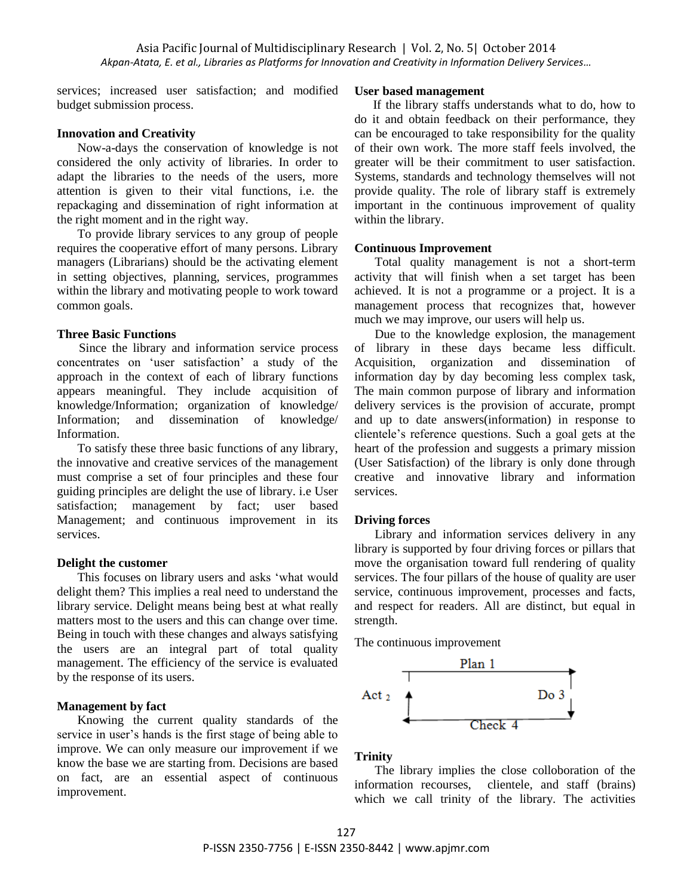services; increased user satisfaction; and modified budget submission process.

### **Innovation and Creativity**

Now-a-days the conservation of knowledge is not considered the only activity of libraries. In order to adapt the libraries to the needs of the users, more attention is given to their vital functions, i.e. the repackaging and dissemination of right information at the right moment and in the right way.

To provide library services to any group of people requires the cooperative effort of many persons. Library managers (Librarians) should be the activating element in setting objectives, planning, services, programmes within the library and motivating people to work toward common goals.

### **Three Basic Functions**

 Since the library and information service process concentrates on 'user satisfaction' a study of the approach in the context of each of library functions appears meaningful. They include acquisition of knowledge/Information; organization of knowledge/ Information; and dissemination of knowledge/ Information.

To satisfy these three basic functions of any library, the innovative and creative services of the management must comprise a set of four principles and these four guiding principles are delight the use of library. i.e User satisfaction; management by fact; user based Management; and continuous improvement in its services.

#### **Delight the customer**

This focuses on library users and asks 'what would delight them? This implies a real need to understand the library service. Delight means being best at what really matters most to the users and this can change over time. Being in touch with these changes and always satisfying the users are an integral part of total quality management. The efficiency of the service is evaluated by the response of its users.

### **Management by fact**

Knowing the current quality standards of the service in user's hands is the first stage of being able to improve. We can only measure our improvement if we know the base we are starting from. Decisions are based on fact, are an essential aspect of continuous improvement.

### **User based management**

 If the library staffs understands what to do, how to do it and obtain feedback on their performance, they can be encouraged to take responsibility for the quality of their own work. The more staff feels involved, the greater will be their commitment to user satisfaction. Systems, standards and technology themselves will not provide quality. The role of library staff is extremely important in the continuous improvement of quality within the library.

### **Continuous Improvement**

Total quality management is not a short-term activity that will finish when a set target has been achieved. It is not a programme or a project. It is a management process that recognizes that, however much we may improve, our users will help us.

Due to the knowledge explosion, the management of library in these days became less difficult. Acquisition, organization and dissemination of information day by day becoming less complex task, The main common purpose of library and information delivery services is the provision of accurate, prompt and up to date answers(information) in response to clientele's reference questions. Such a goal gets at the heart of the profession and suggests a primary mission (User Satisfaction) of the library is only done through creative and innovative library and information services.

#### **Driving forces**

Library and information services delivery in any library is supported by four driving forces or pillars that move the organisation toward full rendering of quality services. The four pillars of the house of quality are user service, continuous improvement, processes and facts, and respect for readers. All are distinct, but equal in strength.

The continuous improvement



# **Trinity**

The library implies the close colloboration of the information recourses, clientele, and staff (brains) which we call trinity of the library. The activities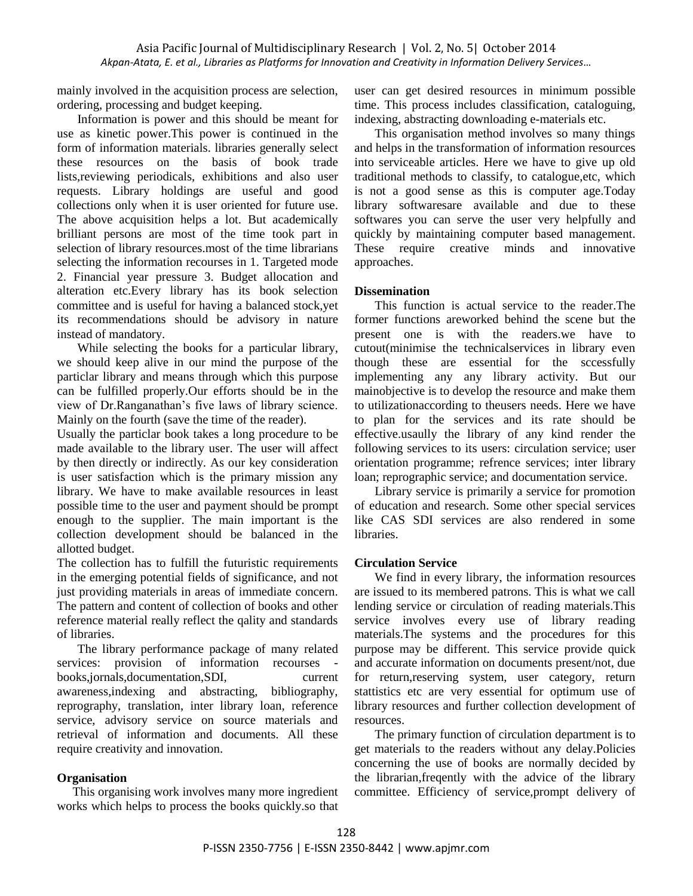mainly involved in the acquisition process are selection, ordering, processing and budget keeping.

Information is power and this should be meant for use as kinetic power.This power is continued in the form of information materials. libraries generally select these resources on the basis of book trade lists,reviewing periodicals, exhibitions and also user requests. Library holdings are useful and good collections only when it is user oriented for future use. The above acquisition helps a lot. But academically brilliant persons are most of the time took part in selection of library resources.most of the time librarians selecting the information recourses in 1. Targeted mode 2. Financial year pressure 3. Budget allocation and alteration etc.Every library has its book selection committee and is useful for having a balanced stock,yet its recommendations should be advisory in nature instead of mandatory.

While selecting the books for a particular library, we should keep alive in our mind the purpose of the particlar library and means through which this purpose can be fulfilled properly.Our efforts should be in the view of Dr.Ranganathan's five laws of library science. Mainly on the fourth (save the time of the reader).

Usually the particlar book takes a long procedure to be made available to the library user. The user will affect by then directly or indirectly. As our key consideration is user satisfaction which is the primary mission any library. We have to make available resources in least possible time to the user and payment should be prompt enough to the supplier. The main important is the collection development should be balanced in the allotted budget.

The collection has to fulfill the futuristic requirements in the emerging potential fields of significance, and not just providing materials in areas of immediate concern. The pattern and content of collection of books and other reference material really reflect the qality and standards of libraries.

The library performance package of many related services: provision of information recourses books,jornals,documentation,SDI, current awareness,indexing and abstracting, bibliography, reprography, translation, inter library loan, reference service, advisory service on source materials and retrieval of information and documents. All these require creativity and innovation.

# **Organisation**

 This organising work involves many more ingredient works which helps to process the books quickly.so that user can get desired resources in minimum possible time. This process includes classification, cataloguing, indexing, abstracting downloading e-materials etc.

This organisation method involves so many things and helps in the transformation of information resources into serviceable articles. Here we have to give up old traditional methods to classify, to catalogue,etc, which is not a good sense as this is computer age.Today library softwaresare available and due to these softwares you can serve the user very helpfully and quickly by maintaining computer based management. These require creative minds and innovative approaches.

## **Dissemination**

This function is actual service to the reader.The former functions areworked behind the scene but the present one is with the readers.we have to cutout(minimise the technicalservices in library even though these are essential for the sccessfully implementing any any library activity. But our mainobjective is to develop the resource and make them to utilizationaccording to theusers needs. Here we have to plan for the services and its rate should be effective.usaully the library of any kind render the following services to its users: circulation service; user orientation programme; refrence services; inter library loan; reprographic service; and documentation service.

Library service is primarily a service for promotion of education and research. Some other special services like CAS SDI services are also rendered in some libraries.

## **Circulation Service**

We find in every library, the information resources are issued to its membered patrons. This is what we call lending service or circulation of reading materials.This service involves every use of library reading materials.The systems and the procedures for this purpose may be different. This service provide quick and accurate information on documents present/not, due for return,reserving system, user category, return stattistics etc are very essential for optimum use of library resources and further collection development of resources.

The primary function of circulation department is to get materials to the readers without any delay.Policies concerning the use of books are normally decided by the librarian,freqently with the advice of the library committee. Efficiency of service,prompt delivery of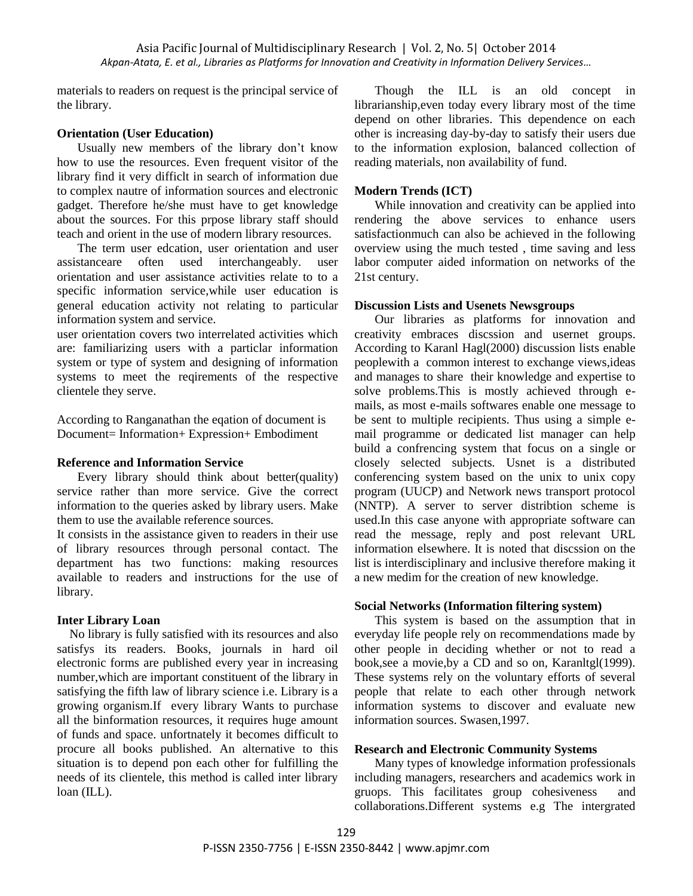materials to readers on request is the principal service of the library.

# **Orientation (User Education)**

Usually new members of the library don't know how to use the resources. Even frequent visitor of the library find it very difficlt in search of information due to complex nautre of information sources and electronic gadget. Therefore he/she must have to get knowledge about the sources. For this prpose library staff should teach and orient in the use of modern library resources.

The term user edcation, user orientation and user assistanceare often used interchangeably. user orientation and user assistance activities relate to to a specific information service,while user education is general education activity not relating to particular information system and service.

user orientation covers two interrelated activities which are: familiarizing users with a particlar information system or type of system and designing of information systems to meet the reqirements of the respective clientele they serve.

According to Ranganathan the eqation of document is Document= Information+ Expression+ Embodiment

## **Reference and Information Service**

Every library should think about better(quality) service rather than more service. Give the correct information to the queries asked by library users. Make them to use the available reference sources.

It consists in the assistance given to readers in their use of library resources through personal contact. The department has two functions: making resources available to readers and instructions for the use of library.

# **Inter Library Loan**

 No library is fully satisfied with its resources and also satisfys its readers. Books, journals in hard oil electronic forms are published every year in increasing number,which are important constituent of the library in satisfying the fifth law of library science i.e. Library is a growing organism.If every library Wants to purchase all the binformation resources, it requires huge amount of funds and space. unfortnately it becomes difficult to procure all books published. An alternative to this situation is to depend pon each other for fulfilling the needs of its clientele, this method is called inter library loan (ILL).

Though the ILL is an old concept in librarianship,even today every library most of the time depend on other libraries. This dependence on each other is increasing day-by-day to satisfy their users due to the information explosion, balanced collection of reading materials, non availability of fund.

# **Modern Trends (ICT)**

While innovation and creativity can be applied into rendering the above services to enhance users satisfactionmuch can also be achieved in the following overview using the much tested , time saving and less labor computer aided information on networks of the 21st century.

# **Discussion Lists and Usenets Newsgroups**

Our libraries as platforms for innovation and creativity embraces discssion and usernet groups. According to Karanl Hagl(2000) discussion lists enable peoplewith a common interest to exchange views,ideas and manages to share their knowledge and expertise to solve problems.This is mostly achieved through emails, as most e-mails softwares enable one message to be sent to multiple recipients. Thus using a simple email programme or dedicated list manager can help build a confrencing system that focus on a single or closely selected subjects. Usnet is a distributed conferencing system based on the unix to unix copy program (UUCP) and Network news transport protocol (NNTP). A server to server distribtion scheme is used.In this case anyone with appropriate software can read the message, reply and post relevant URL information elsewhere. It is noted that discssion on the list is interdisciplinary and inclusive therefore making it a new medim for the creation of new knowledge.

# **Social Networks (Information filtering system)**

This system is based on the assumption that in everyday life people rely on recommendations made by other people in deciding whether or not to read a book,see a movie,by a CD and so on, Karanltgl(1999). These systems rely on the voluntary efforts of several people that relate to each other through network information systems to discover and evaluate new information sources. Swasen,1997.

## **Research and Electronic Community Systems**

Many types of knowledge information professionals including managers, researchers and academics work in gruops. This facilitates group cohesiveness and collaborations.Different systems e.g The intergrated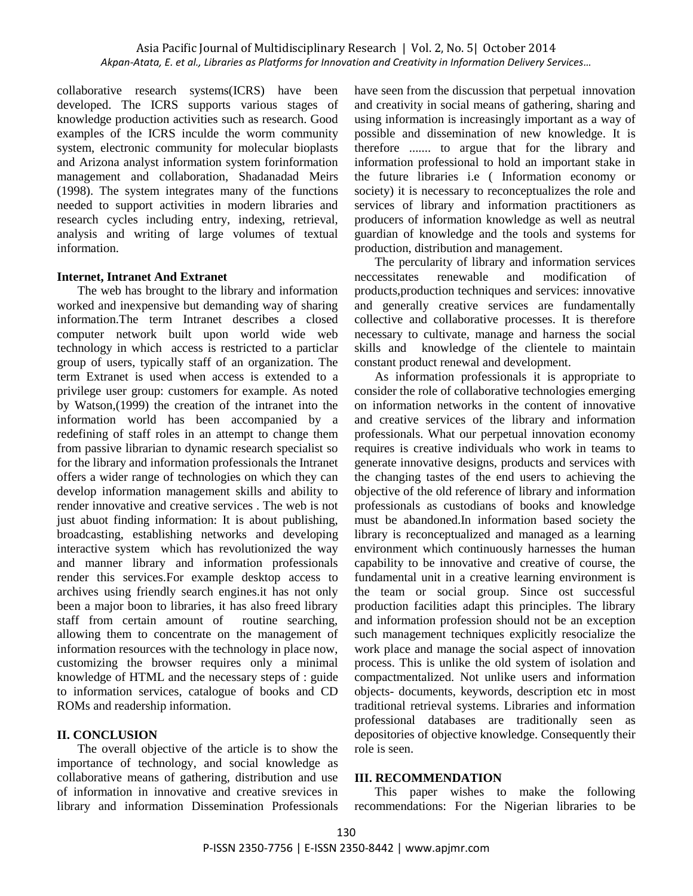collaborative research systems(ICRS) have been developed. The ICRS supports various stages of knowledge production activities such as research. Good examples of the ICRS inculde the worm community system, electronic community for molecular bioplasts and Arizona analyst information system forinformation management and collaboration, Shadanadad Meirs (1998). The system integrates many of the functions needed to support activities in modern libraries and research cycles including entry, indexing, retrieval, analysis and writing of large volumes of textual information.

# **Internet, Intranet And Extranet**

The web has brought to the library and information worked and inexpensive but demanding way of sharing information.The term Intranet describes a closed computer network built upon world wide web technology in which access is restricted to a particlar group of users, typically staff of an organization. The term Extranet is used when access is extended to a privilege user group: customers for example. As noted by Watson,(1999) the creation of the intranet into the information world has been accompanied by a redefining of staff roles in an attempt to change them from passive librarian to dynamic research specialist so for the library and information professionals the Intranet offers a wider range of technologies on which they can develop information management skills and ability to render innovative and creative services . The web is not just abuot finding information: It is about publishing, broadcasting, establishing networks and developing interactive system which has revolutionized the way and manner library and information professionals render this services.For example desktop access to archives using friendly search engines.it has not only been a major boon to libraries, it has also freed library staff from certain amount of routine searching, allowing them to concentrate on the management of information resources with the technology in place now, customizing the browser requires only a minimal knowledge of HTML and the necessary steps of : guide to information services, catalogue of books and CD ROMs and readership information.

# **II. CONCLUSION**

The overall objective of the article is to show the importance of technology, and social knowledge as collaborative means of gathering, distribution and use of information in innovative and creative srevices in library and information Dissemination Professionals have seen from the discussion that perpetual innovation and creativity in social means of gathering, sharing and using information is increasingly important as a way of possible and dissemination of new knowledge. It is therefore ....... to argue that for the library and information professional to hold an important stake in the future libraries i.e ( Information economy or society) it is necessary to reconceptualizes the role and services of library and information practitioners as producers of information knowledge as well as neutral guardian of knowledge and the tools and systems for production, distribution and management.

The percularity of library and information services neccessitates renewable and modification of products,production techniques and services: innovative and generally creative services are fundamentally collective and collaborative processes. It is therefore necessary to cultivate, manage and harness the social skills and knowledge of the clientele to maintain constant product renewal and development.

As information professionals it is appropriate to consider the role of collaborative technologies emerging on information networks in the content of innovative and creative services of the library and information professionals. What our perpetual innovation economy requires is creative individuals who work in teams to generate innovative designs, products and services with the changing tastes of the end users to achieving the objective of the old reference of library and information professionals as custodians of books and knowledge must be abandoned.In information based society the library is reconceptualized and managed as a learning environment which continuously harnesses the human capability to be innovative and creative of course, the fundamental unit in a creative learning environment is the team or social group. Since ost successful production facilities adapt this principles. The library and information profession should not be an exception such management techniques explicitly resocialize the work place and manage the social aspect of innovation process. This is unlike the old system of isolation and compactmentalized. Not unlike users and information objects- documents, keywords, description etc in most traditional retrieval systems. Libraries and information professional databases are traditionally seen as depositories of objective knowledge. Consequently their role is seen.

## **III. RECOMMENDATION**

This paper wishes to make the following recommendations: For the Nigerian libraries to be